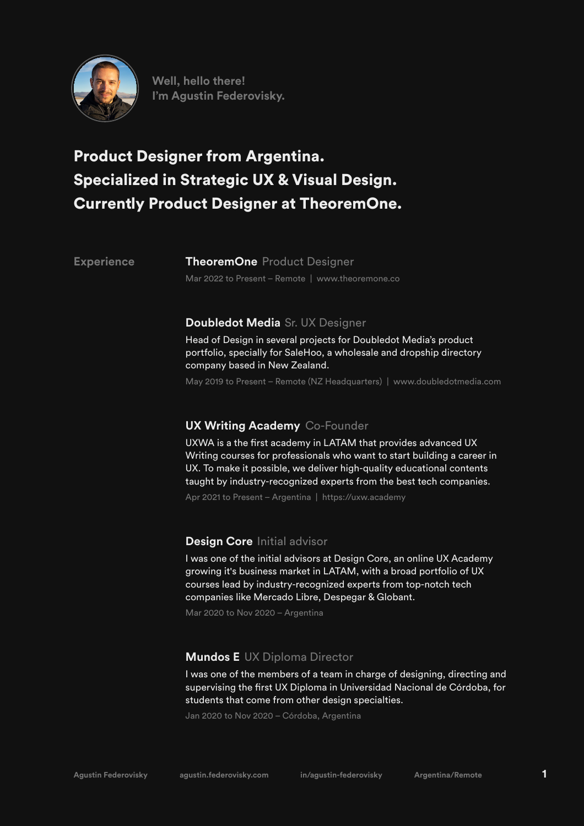

**Well, hello there! I'm Agustin Federovisky.**

# Product Designer from Argentina. Specialized in Strategic UX & Visual Design. Currently Product Designer at TheoremOne.

**Experience**

**TheoremOne** Product Designer Mar 2022 to Present – Remote | www.theoremone.co

## **Doubledot Media** Sr. UX Designer

Head of Design in several projects for Doubledot Media's product portfolio, specially for SaleHoo, a wholesale and dropship directory company based in New Zealand.

May 2019 to Present – Remote (NZ Headquarters) | www.doubledotmedia.com

# **UX Writing Academy** Co-Founder

UXWA is a the first academy in LATAM that provides advanced UX Writing courses for professionals who want to start building a career in UX. To make it possible, we deliver high-quality educational contents taught by industry-recognized experts from the best tech companies.

Apr 2021 to Present – Argentina | https://uxw.academy

# Design Core Initial advisor

I was one of the initial advisors at Design Core, an online UX Academy growing it's business market in LATAM, with a broad portfolio of UX courses lead by industry-recognized experts from top-notch tech companies like Mercado Libre, Despegar & Globant.

Mar 2020 to Nov 2020 – Argentina

# **Mundos E** UX Diploma Director

I was one of the members of a team in charge of designing, directing and supervising the first UX Diploma in Universidad Nacional de Córdoba, for students that come from other design specialties.

Jan 2020 to Nov 2020 – Córdoba, Argentina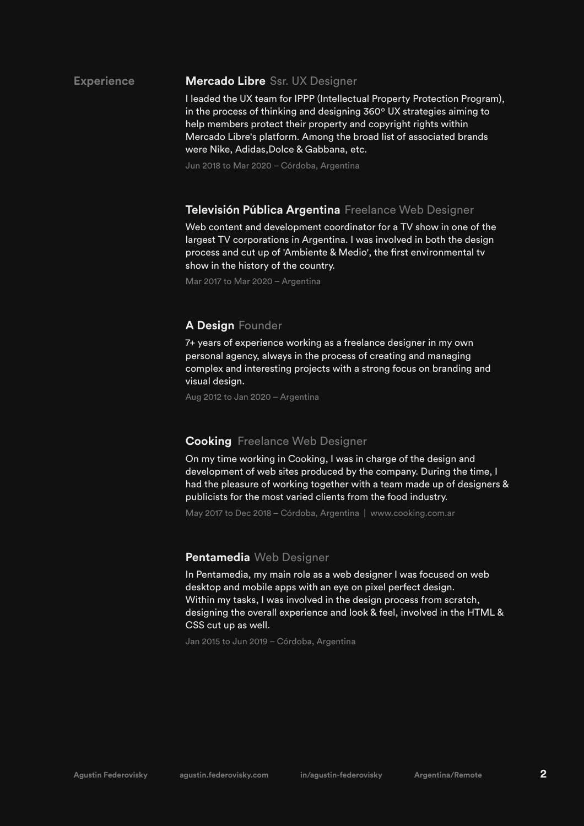#### **Experience Mercado Libre** Ssr. UX Designer

I leaded the UX team for IPPP (Intellectual Property Protection Program), in the process of thinking and designing 360º UX strategies aiming to help members protect their property and copyright rights within Mercado Libre's platform. Among the broad list of associated brands were Nike, Adidas,Dolce & Gabbana, etc.

Jun 2018 to Mar 2020 – Córdoba, Argentina

### Televisión Pública Argentina Freelance Web Designer

Web content and development coordinator for a TV show in one of the largest TV corporations in Argentina. I was involved in both the design process and cut up of 'Ambiente & Medio', the first environmental tv show in the history of the country.

Mar 2017 to Mar 2020 – Argentina

### **A Design** Founder

7+ years of experience working as a freelance designer in my own personal agency, always in the process of creating and managing complex and interesting projects with a strong focus on branding and visual design.

Aug 2012 to Jan 2020 – Argentina

### **Cooking** Freelance Web Designer

On my time working in Cooking, I was in charge of the design and development of web sites produced by the company. During the time, I had the pleasure of working together with a team made up of designers & publicists for the most varied clients from the food industry.

May 2017 to Dec 2018 – Córdoba, Argentina | www.cooking.com.ar

### **Pentamedia** Web Designer

In Pentamedia, my main role as a web designer I was focused on web desktop and mobile apps with an eye on pixel perfect design. Within my tasks, I was involved in the design process from scratch, designing the overall experience and look & feel, involved in the HTML & CSS cut up as well.

Jan 2015 to Jun 2019 – Córdoba, Argentina